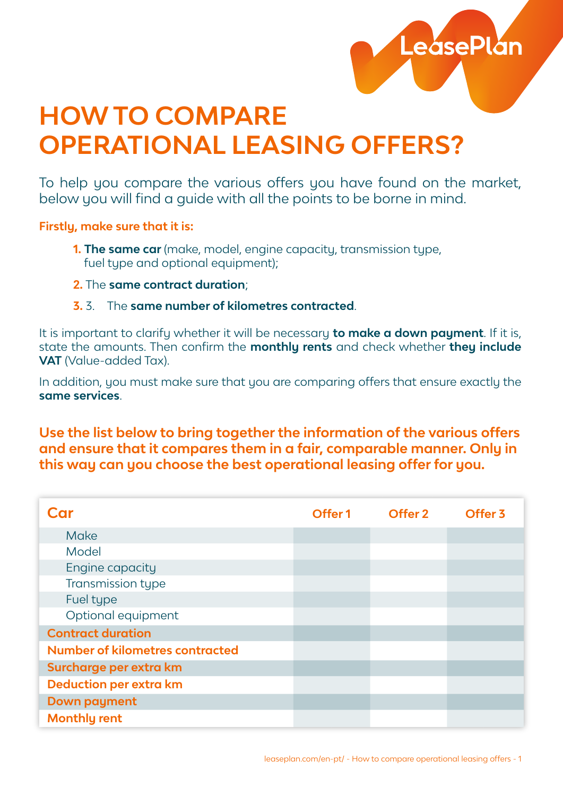

## **HOW TO COMPARE OPERATIONAL LEASING OFFERS?**

To help you compare the various offers you have found on the market, below you will find a guide with all the points to be borne in mind.

**Firstly, make sure that it is:**

- **1. The same car** (make, model, engine capacity, transmission type, fuel type and optional equipment);
- **2.** The **same contract duration**;
- **3.** 3. The **same number of kilometres contracted**.

It is important to clarify whether it will be necessary **to make a down payment**. If it is, state the amounts. Then confirm the **monthly rents** and check whether **they include VAT** (Value-added Tax).

In addition, you must make sure that you are comparing offers that ensure exactly the **same services**.

**Use the list below to bring together the information of the various offers and ensure that it compares them in a fair, comparable manner. Only in this way can you choose the best operational leasing offer for you.**

| Car                                    | Offer <sub>1</sub> | Offer 2 | Offer <sub>3</sub> |
|----------------------------------------|--------------------|---------|--------------------|
| Make                                   |                    |         |                    |
| Model                                  |                    |         |                    |
| Engine capacity                        |                    |         |                    |
| Transmission type                      |                    |         |                    |
| Fuel type                              |                    |         |                    |
| Optional equipment                     |                    |         |                    |
| <b>Contract duration</b>               |                    |         |                    |
| <b>Number of kilometres contracted</b> |                    |         |                    |
| Surcharge per extra km                 |                    |         |                    |
| <b>Deduction per extra km</b>          |                    |         |                    |
| <b>Down payment</b>                    |                    |         |                    |
| <b>Monthly rent</b>                    |                    |         |                    |